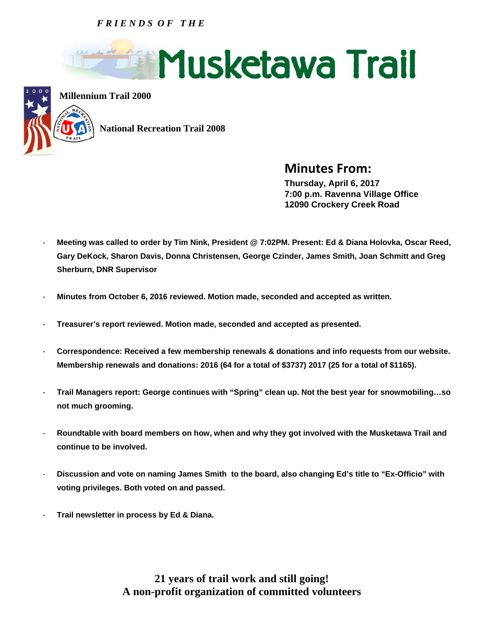## *F R I E N D S O F T H E*





**Millennium Trail 2000**

 **National Recreation Trail 2008** 

## **Minutes From:**<br> **CERTIFY THE STAND THE STAND THE STAND THE STAND THE STAND THE STAND THE STAND THE STAND THE STAND THE STAND THE ST**

 **7:00 p.m. Ravenna Village Office 12090 Crockery Creek Road** 

- **Meeting was called to order by Tim Nink, President @ 7:02PM. Present: Ed & Diana Holovka, Oscar Reed, Gary DeKock, Sharon Davis, Donna Christensen, George Czinder, James Smith, Joan Schmitt and Greg Sherburn, DNR Supervisor**
- **Minutes from October 6, 2016 reviewed. Motion made, seconded and accepted as written.**
- **Treasurer's report reviewed. Motion made, seconded and accepted as presented.**
- **Correspondence: Received a few membership renewals & donations and info requests from our website. Membership renewals and donations: 2016 (64 for a total of \$3737) 2017 (25 for a total of \$1165).**
- **Trail Managers report: George continues with "Spring" clean up. Not the best year for snowmobiling…so not much grooming.**
- **Roundtable with board members on how, when and why they got involved with the Musketawa Trail and continue to be involved.**
- **Discussion and vote on naming James Smith to the board, also changing Ed's title to "Ex-Officio" with voting privileges. Both voted on and passed.**
- **Trail newsletter in process by Ed & Diana.**

**21 years of trail work and still going! A non-profit organization of committed volunteers**